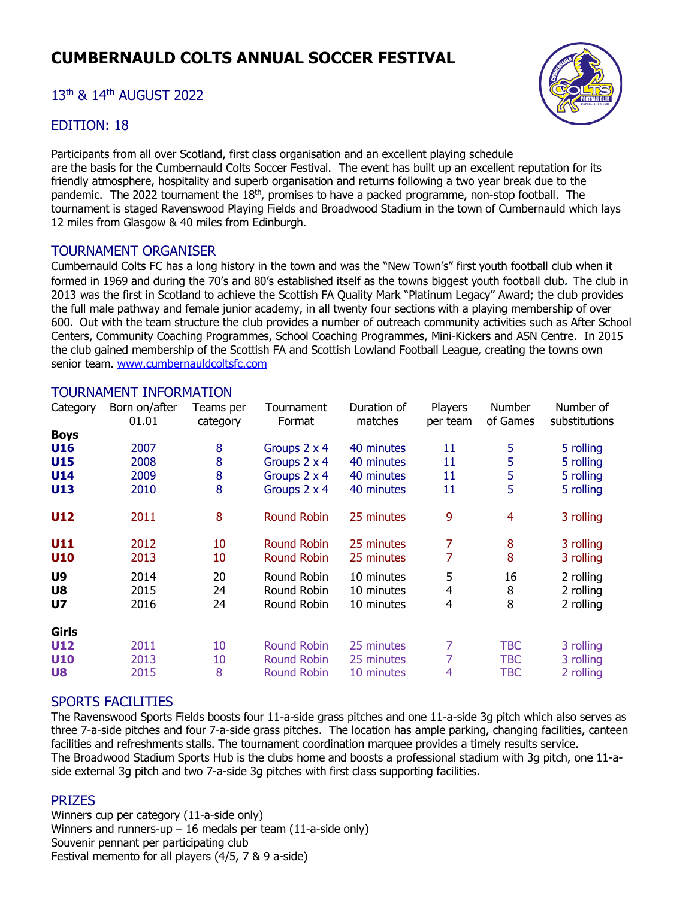# **CUMBERNAULD COLTS ANNUAL SOCCER FESTIVAL**

## 13th & 14th AUGUST 2022

#### EDITION: 18

Participants from all over Scotland, first class organisation and an excellent playing schedule are the basis for the Cumbernauld Colts Soccer Festival. The event has built up an excellent reputation for its friendly atmosphere, hospitality and superb organisation and returns following a two year break due to the pandemic. The 2022 tournament the 18<sup>th</sup>, promises to have a packed programme, non-stop football. The tournament is staged Ravenswood Playing Fields and Broadwood Stadium in the town of Cumbernauld which lays 12 miles from Glasgow & 40 miles from Edinburgh.

#### TOURNAMENT ORGANISER

Cumbernauld Colts FC has a long history in the town and was the "New Town's" first youth football club when it formed in 1969 and during the 70's and 80's established itself as the towns biggest youth football club*.* The club in 2013 was the first in Scotland to achieve the Scottish FA Quality Mark "Platinum Legacy" Award; the club provides the full male pathway and female junior academy, in all twenty four sections with a playing membership of over 600. Out with the team structure the club provides a number of outreach community activities such as After School Centers, Community Coaching Programmes, School Coaching Programmes, Mini-Kickers and ASN Centre. In 2015 the club gained membership of the Scottish FA and Scottish Lowland Football League, creating the towns own senior team. [www.cumbernauldcoltsfc.com](http://www.cumbernauldcoltsfc.com/)

#### TOURNAMENT INFORMATION

| Category       | Born on/after<br>01.01 | Teams per<br>category | Tournament<br>Format | Duration of<br>matches | Players<br>per team | Number<br>of Games | Number of<br>substitutions |
|----------------|------------------------|-----------------------|----------------------|------------------------|---------------------|--------------------|----------------------------|
| <b>Boys</b>    |                        |                       |                      |                        |                     |                    |                            |
| <b>U16</b>     | 2007                   | 8                     | Groups 2 x 4         | 40 minutes             | 11                  | 5                  | 5 rolling                  |
| <b>U15</b>     | 2008                   | 8                     | Groups 2 x 4         | 40 minutes             | 11                  | 5                  | 5 rolling                  |
| <b>U14</b>     | 2009                   | 8                     | Groups 2 x 4         | 40 minutes             | 11                  | 5                  | 5 rolling                  |
| U13            | 2010                   | 8                     | Groups 2 x 4         | 40 minutes             | 11                  | 5                  | 5 rolling                  |
| U12            | 2011                   | 8                     | <b>Round Robin</b>   | 25 minutes             | 9                   | $\overline{4}$     | 3 rolling                  |
| U11            | 2012                   | 10                    | Round Robin          | 25 minutes             | 7                   | 8                  | 3 rolling                  |
| U10            | 2013                   | 10                    | <b>Round Robin</b>   | 25 minutes             | 7                   | 8                  | 3 rolling                  |
| U <sub>9</sub> | 2014                   | 20                    | Round Robin          | 10 minutes             | 5                   | 16                 | 2 rolling                  |
| U8             | 2015                   | 24                    | Round Robin          | 10 minutes             | 4                   | 8                  | 2 rolling                  |
| U <sub>7</sub> | 2016                   | 24                    | Round Robin          | 10 minutes             | 4                   | 8                  | 2 rolling                  |
| Girls          |                        |                       |                      |                        |                     |                    |                            |
| <b>U12</b>     | 2011                   | 10                    | Round Robin          | 25 minutes             | 7                   | TBC                | 3 rolling                  |
| <b>U10</b>     | 2013                   | 10                    | <b>Round Robin</b>   | 25 minutes             | 7                   | <b>TBC</b>         | 3 rolling                  |
| U8             | 2015                   | 8                     | <b>Round Robin</b>   | 10 minutes             | 4                   | TBC                | 2 rolling                  |

#### SPORTS FACILITIES

The Ravenswood Sports Fields boosts four 11-a-side grass pitches and one 11-a-side 3g pitch which also serves as three 7-a-side pitches and four 7-a-side grass pitches. The location has ample parking, changing facilities, canteen facilities and refreshments stalls. The tournament coordination marquee provides a timely results service. The Broadwood Stadium Sports Hub is the clubs home and boosts a professional stadium with 3g pitch, one 11-aside external 3g pitch and two 7-a-side 3g pitches with first class supporting facilities.

## PRIZES

Winners cup per category (11-a-side only) Winners and runners-up  $-16$  medals per team (11-a-side only) Souvenir pennant per participating club Festival memento for all players (4/5, 7 & 9 a-side)